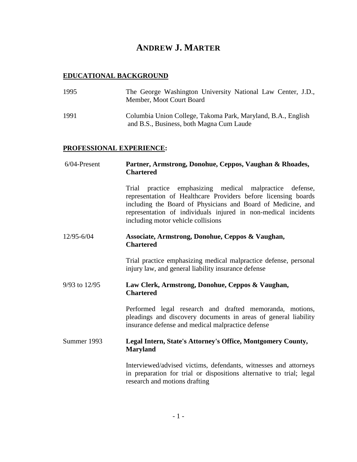# **ANDREW J. MARTER**

## **EDUCATIONAL BACKGROUND**

| 1995 | The George Washington University National Law Center, J.D.,<br>Member, Moot Court Board                  |
|------|----------------------------------------------------------------------------------------------------------|
| 1991 | Columbia Union College, Takoma Park, Maryland, B.A., English<br>and B.S., Business, both Magna Cum Laude |

### **PROFESSIONAL EXPERIENCE:**

| $6/04$ -Present | Partner, Armstrong, Donohue, Ceppos, Vaughan & Rhoades,<br><b>Chartered</b>                                                                                                                                                                                                                          |
|-----------------|------------------------------------------------------------------------------------------------------------------------------------------------------------------------------------------------------------------------------------------------------------------------------------------------------|
|                 | practice emphasizing medical malpractice defense,<br>Trial<br>representation of Healthcare Providers before licensing boards<br>including the Board of Physicians and Board of Medicine, and<br>representation of individuals injured in non-medical incidents<br>including motor vehicle collisions |
| 12/95-6/04      | Associate, Armstrong, Donohue, Ceppos & Vaughan,<br><b>Chartered</b>                                                                                                                                                                                                                                 |
|                 | Trial practice emphasizing medical malpractice defense, personal<br>injury law, and general liability insurance defense                                                                                                                                                                              |
| 9/93 to 12/95   | Law Clerk, Armstrong, Donohue, Ceppos & Vaughan,<br><b>Chartered</b>                                                                                                                                                                                                                                 |
|                 | Performed legal research and drafted memoranda, motions,<br>pleadings and discovery documents in areas of general liability<br>insurance defense and medical malpractice defense                                                                                                                     |
| Summer 1993     | Legal Intern, State's Attorney's Office, Montgomery County,<br><b>Maryland</b>                                                                                                                                                                                                                       |
|                 | Interviewed/advised victims, defendants, witnesses and attorneys<br>in preparation for trial or dispositions alternative to trial; legal<br>research and motions drafting                                                                                                                            |